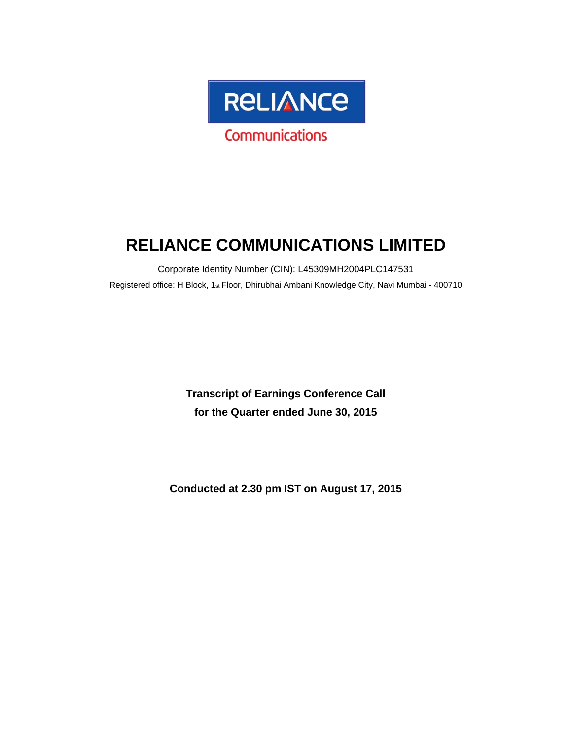

# **RELIANCE COMMUNICATIONS LIMITED**

Corporate Identity Number (CIN): L45309MH2004PLC147531 Registered office: H Block, 1st Floor, Dhirubhai Ambani Knowledge City, Navi Mumbai - 400710

> **Transcript of Earnings Conference Call for the Quarter ended June 30, 2015**

**Conducted at 2.30 pm IST on August 17, 2015**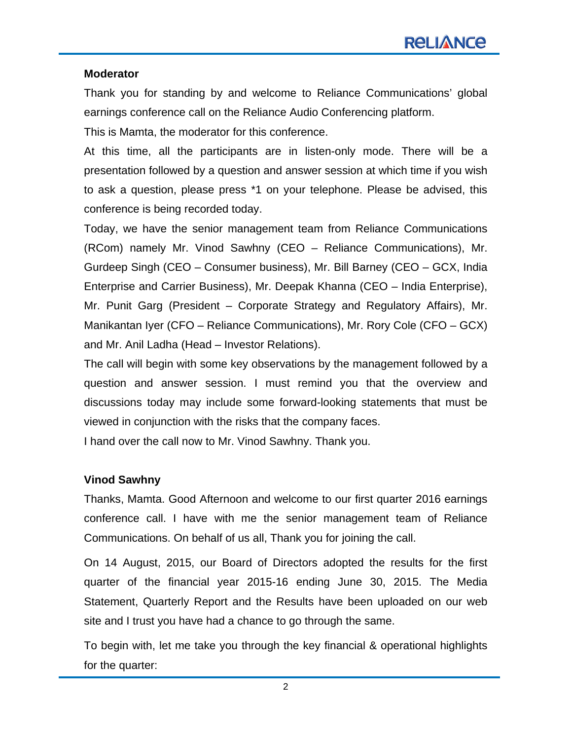#### **Moderator**

Thank you for standing by and welcome to Reliance Communications' global earnings conference call on the Reliance Audio Conferencing platform.

This is Mamta, the moderator for this conference.

At this time, all the participants are in listen-only mode. There will be a presentation followed by a question and answer session at which time if you wish to ask a question, please press \*1 on your telephone. Please be advised, this conference is being recorded today.

Today, we have the senior management team from Reliance Communications (RCom) namely Mr. Vinod Sawhny (CEO – Reliance Communications), Mr. Gurdeep Singh (CEO – Consumer business), Mr. Bill Barney (CEO – GCX, India Enterprise and Carrier Business), Mr. Deepak Khanna (CEO – India Enterprise), Mr. Punit Garg (President – Corporate Strategy and Regulatory Affairs), Mr. Manikantan Iyer (CFO – Reliance Communications), Mr. Rory Cole (CFO – GCX) and Mr. Anil Ladha (Head – Investor Relations).

The call will begin with some key observations by the management followed by a question and answer session. I must remind you that the overview and discussions today may include some forward-looking statements that must be viewed in conjunction with the risks that the company faces.

I hand over the call now to Mr. Vinod Sawhny. Thank you.

#### **Vinod Sawhny**

Thanks, Mamta. Good Afternoon and welcome to our first quarter 2016 earnings conference call. I have with me the senior management team of Reliance Communications. On behalf of us all, Thank you for joining the call.

On 14 August, 2015, our Board of Directors adopted the results for the first quarter of the financial year 2015-16 ending June 30, 2015. The Media Statement, Quarterly Report and the Results have been uploaded on our web site and I trust you have had a chance to go through the same.

To begin with, let me take you through the key financial & operational highlights for the quarter: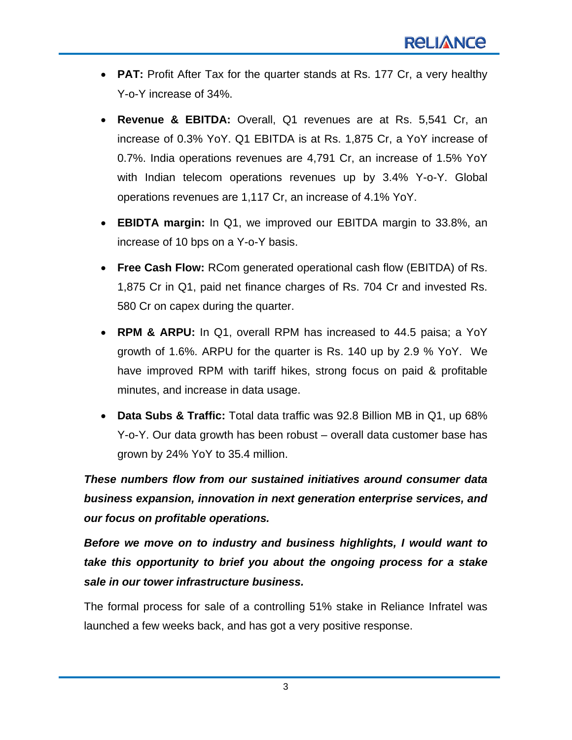- **PAT:** Profit After Tax for the quarter stands at Rs. 177 Cr, a very healthy Y-o-Y increase of 34%.
- **Revenue & EBITDA:** Overall, Q1 revenues are at Rs. 5,541 Cr, an increase of 0.3% YoY. Q1 EBITDA is at Rs. 1,875 Cr, a YoY increase of 0.7%. India operations revenues are 4,791 Cr, an increase of 1.5% YoY with Indian telecom operations revenues up by 3.4% Y-o-Y. Global operations revenues are 1,117 Cr, an increase of 4.1% YoY.
- **EBIDTA margin:** In Q1, we improved our EBITDA margin to 33.8%, an increase of 10 bps on a Y-o-Y basis.
- **Free Cash Flow:** RCom generated operational cash flow (EBITDA) of Rs. 1,875 Cr in Q1, paid net finance charges of Rs. 704 Cr and invested Rs. 580 Cr on capex during the quarter.
- **RPM & ARPU:** In Q1, overall RPM has increased to 44.5 paisa; a YoY growth of 1.6%. ARPU for the quarter is Rs. 140 up by 2.9 % YoY. We have improved RPM with tariff hikes, strong focus on paid & profitable minutes, and increase in data usage.
- **Data Subs & Traffic:** Total data traffic was 92.8 Billion MB in Q1, up 68% Y-o-Y. Our data growth has been robust – overall data customer base has grown by 24% YoY to 35.4 million.

*These numbers flow from our sustained initiatives around consumer data business expansion, innovation in next generation enterprise services, and our focus on profitable operations.*

*Before we move on to industry and business highlights, I would want to take this opportunity to brief you about the ongoing process for a stake sale in our tower infrastructure business.* 

The formal process for sale of a controlling 51% stake in Reliance Infratel was launched a few weeks back, and has got a very positive response.

3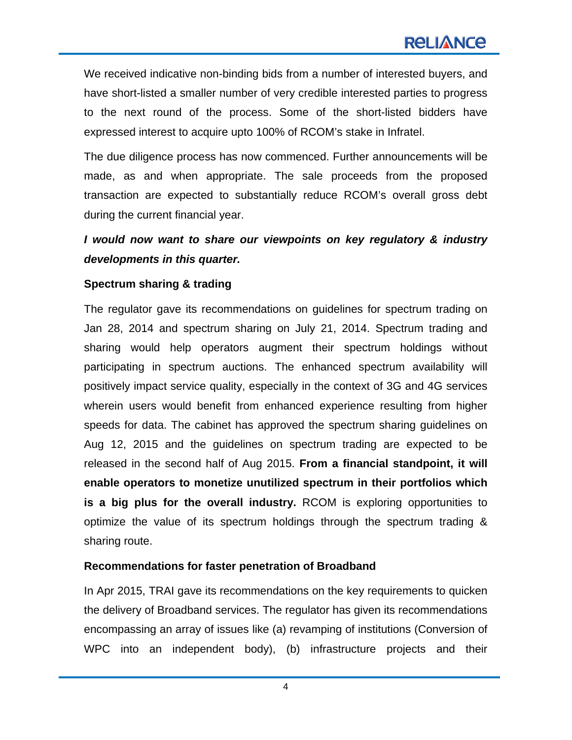We received indicative non-binding bids from a number of interested buyers, and have short-listed a smaller number of very credible interested parties to progress to the next round of the process. Some of the short-listed bidders have expressed interest to acquire upto 100% of RCOM's stake in Infratel.

The due diligence process has now commenced. Further announcements will be made, as and when appropriate. The sale proceeds from the proposed transaction are expected to substantially reduce RCOM's overall gross debt during the current financial year.

# *I would now want to share our viewpoints on key regulatory & industry developments in this quarter.*

#### **Spectrum sharing & trading**

The regulator gave its recommendations on guidelines for spectrum trading on Jan 28, 2014 and spectrum sharing on July 21, 2014. Spectrum trading and sharing would help operators augment their spectrum holdings without participating in spectrum auctions. The enhanced spectrum availability will positively impact service quality, especially in the context of 3G and 4G services wherein users would benefit from enhanced experience resulting from higher speeds for data. The cabinet has approved the spectrum sharing guidelines on Aug 12, 2015 and the guidelines on spectrum trading are expected to be released in the second half of Aug 2015. **From a financial standpoint, it will enable operators to monetize unutilized spectrum in their portfolios which is a big plus for the overall industry.** RCOM is exploring opportunities to optimize the value of its spectrum holdings through the spectrum trading & sharing route.

#### **Recommendations for faster penetration of Broadband**

In Apr 2015, TRAI gave its recommendations on the key requirements to quicken the delivery of Broadband services. The regulator has given its recommendations encompassing an array of issues like (a) revamping of institutions (Conversion of WPC into an independent body), (b) infrastructure projects and their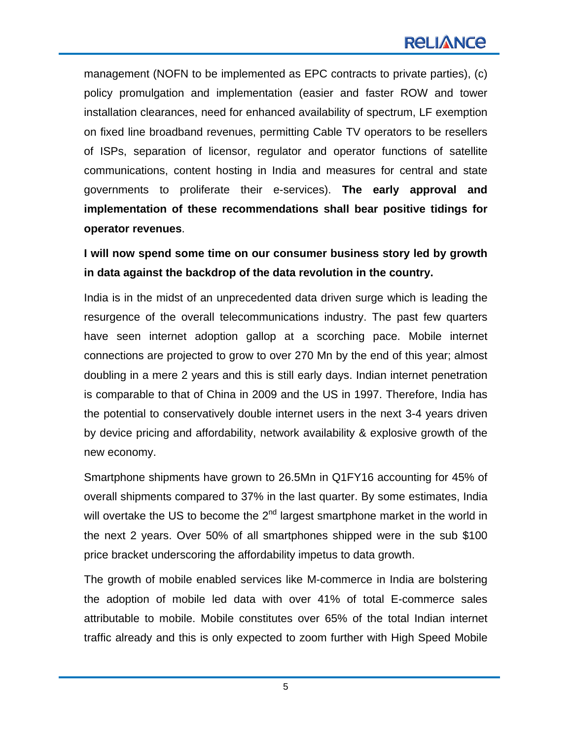management (NOFN to be implemented as EPC contracts to private parties), (c) policy promulgation and implementation (easier and faster ROW and tower installation clearances, need for enhanced availability of spectrum, LF exemption on fixed line broadband revenues, permitting Cable TV operators to be resellers of ISPs, separation of licensor, regulator and operator functions of satellite communications, content hosting in India and measures for central and state governments to proliferate their e-services). **The early approval and implementation of these recommendations shall bear positive tidings for operator revenues**.

**I will now spend some time on our consumer business story led by growth in data against the backdrop of the data revolution in the country.** 

India is in the midst of an unprecedented data driven surge which is leading the resurgence of the overall telecommunications industry. The past few quarters have seen internet adoption gallop at a scorching pace. Mobile internet connections are projected to grow to over 270 Mn by the end of this year; almost doubling in a mere 2 years and this is still early days. Indian internet penetration is comparable to that of China in 2009 and the US in 1997. Therefore, India has the potential to conservatively double internet users in the next 3-4 years driven by device pricing and affordability, network availability & explosive growth of the new economy.

Smartphone shipments have grown to 26.5Mn in Q1FY16 accounting for 45% of overall shipments compared to 37% in the last quarter. By some estimates, India will overtake the US to become the  $2<sup>nd</sup>$  largest smartphone market in the world in the next 2 years. Over 50% of all smartphones shipped were in the sub \$100 price bracket underscoring the affordability impetus to data growth.

The growth of mobile enabled services like M-commerce in India are bolstering the adoption of mobile led data with over 41% of total E-commerce sales attributable to mobile. Mobile constitutes over 65% of the total Indian internet traffic already and this is only expected to zoom further with High Speed Mobile

5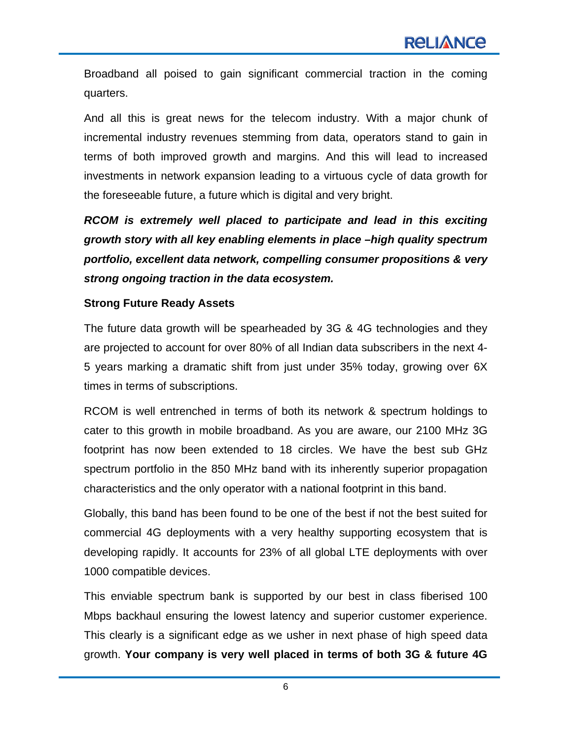Broadband all poised to gain significant commercial traction in the coming quarters.

And all this is great news for the telecom industry. With a major chunk of incremental industry revenues stemming from data, operators stand to gain in terms of both improved growth and margins. And this will lead to increased investments in network expansion leading to a virtuous cycle of data growth for the foreseeable future, a future which is digital and very bright.

*RCOM is extremely well placed to participate and lead in this exciting growth story with all key enabling elements in place –high quality spectrum portfolio, excellent data network, compelling consumer propositions & very strong ongoing traction in the data ecosystem.* 

#### **Strong Future Ready Assets**

The future data growth will be spearheaded by 3G & 4G technologies and they are projected to account for over 80% of all Indian data subscribers in the next 4- 5 years marking a dramatic shift from just under 35% today, growing over 6X times in terms of subscriptions.

RCOM is well entrenched in terms of both its network & spectrum holdings to cater to this growth in mobile broadband. As you are aware, our 2100 MHz 3G footprint has now been extended to 18 circles. We have the best sub GHz spectrum portfolio in the 850 MHz band with its inherently superior propagation characteristics and the only operator with a national footprint in this band.

Globally, this band has been found to be one of the best if not the best suited for commercial 4G deployments with a very healthy supporting ecosystem that is developing rapidly. It accounts for 23% of all global LTE deployments with over 1000 compatible devices.

This enviable spectrum bank is supported by our best in class fiberised 100 Mbps backhaul ensuring the lowest latency and superior customer experience. This clearly is a significant edge as we usher in next phase of high speed data growth. **Your company is very well placed in terms of both 3G & future 4G**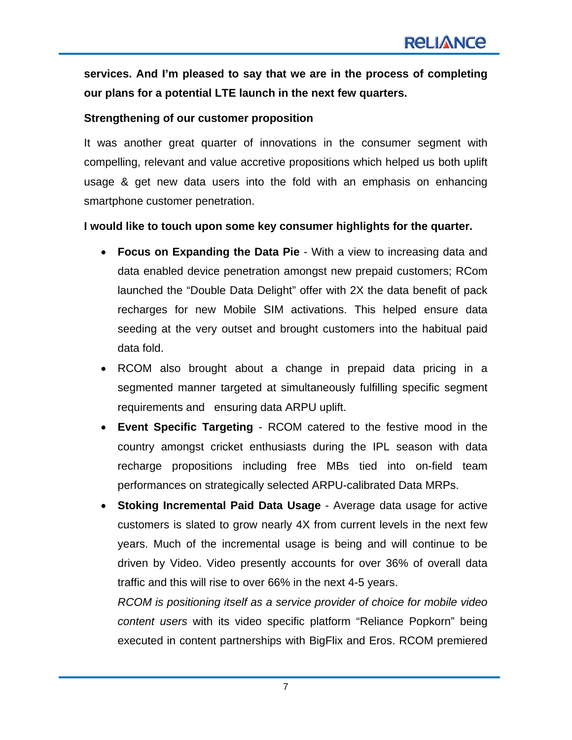**services. And I'm pleased to say that we are in the process of completing our plans for a potential LTE launch in the next few quarters.**

#### **Strengthening of our customer proposition**

It was another great quarter of innovations in the consumer segment with compelling, relevant and value accretive propositions which helped us both uplift usage & get new data users into the fold with an emphasis on enhancing smartphone customer penetration.

#### **I would like to touch upon some key consumer highlights for the quarter.**

- **Focus on Expanding the Data Pie** With a view to increasing data and data enabled device penetration amongst new prepaid customers; RCom launched the "Double Data Delight" offer with 2X the data benefit of pack recharges for new Mobile SIM activations. This helped ensure data seeding at the very outset and brought customers into the habitual paid data fold.
- RCOM also brought about a change in prepaid data pricing in a segmented manner targeted at simultaneously fulfilling specific segment requirements and ensuring data ARPU uplift.
- **Event Specific Targeting** RCOM catered to the festive mood in the country amongst cricket enthusiasts during the IPL season with data recharge propositions including free MBs tied into on-field team performances on strategically selected ARPU-calibrated Data MRPs.
- **Stoking Incremental Paid Data Usage**  Average data usage for active customers is slated to grow nearly 4X from current levels in the next few years. Much of the incremental usage is being and will continue to be driven by Video. Video presently accounts for over 36% of overall data traffic and this will rise to over 66% in the next 4-5 years.

*RCOM is positioning itself as a service provider of choice for mobile video content users* with its video specific platform "Reliance Popkorn" being executed in content partnerships with BigFlix and Eros. RCOM premiered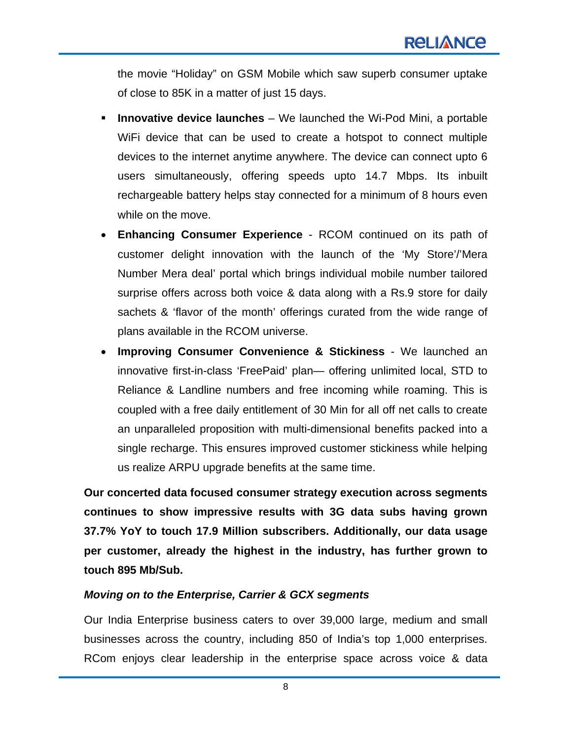the movie "Holiday" on GSM Mobile which saw superb consumer uptake of close to 85K in a matter of just 15 days.

- **Innovative device launches** We launched the Wi-Pod Mini, a portable WiFi device that can be used to create a hotspot to connect multiple devices to the internet anytime anywhere. The device can connect upto 6 users simultaneously, offering speeds upto 14.7 Mbps. Its inbuilt rechargeable battery helps stay connected for a minimum of 8 hours even while on the move.
- **Enhancing Consumer Experience** RCOM continued on its path of customer delight innovation with the launch of the 'My Store'/'Mera Number Mera deal' portal which brings individual mobile number tailored surprise offers across both voice & data along with a Rs.9 store for daily sachets & 'flavor of the month' offerings curated from the wide range of plans available in the RCOM universe.
- **Improving Consumer Convenience & Stickiness** We launched an innovative first-in-class 'FreePaid' plan— offering unlimited local, STD to Reliance & Landline numbers and free incoming while roaming. This is coupled with a free daily entitlement of 30 Min for all off net calls to create an unparalleled proposition with multi-dimensional benefits packed into a single recharge. This ensures improved customer stickiness while helping us realize ARPU upgrade benefits at the same time.

**Our concerted data focused consumer strategy execution across segments continues to show impressive results with 3G data subs having grown 37.7% YoY to touch 17.9 Million subscribers. Additionally, our data usage per customer, already the highest in the industry, has further grown to touch 895 Mb/Sub.** 

#### *Moving on to the Enterprise, Carrier & GCX segments*

Our India Enterprise business caters to over 39,000 large, medium and small businesses across the country, including 850 of India's top 1,000 enterprises. RCom enjoys clear leadership in the enterprise space across voice & data

8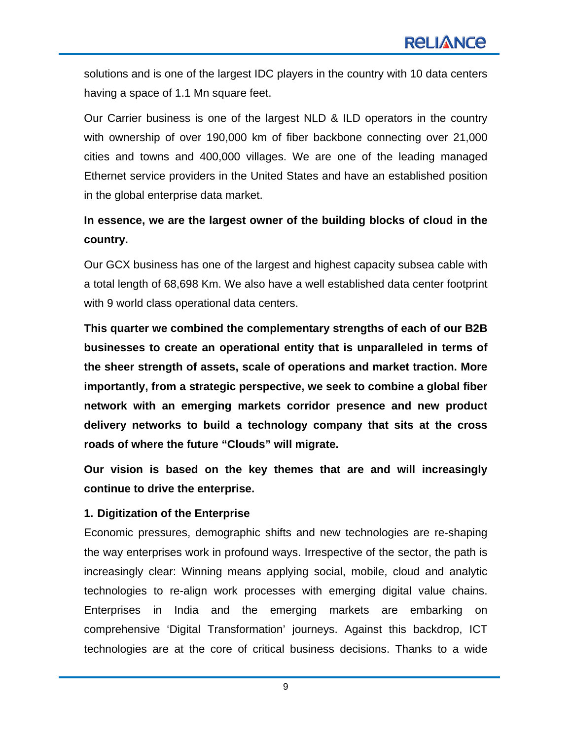solutions and is one of the largest IDC players in the country with 10 data centers having a space of 1.1 Mn square feet.

Our Carrier business is one of the largest NLD & ILD operators in the country with ownership of over 190,000 km of fiber backbone connecting over 21,000 cities and towns and 400,000 villages. We are one of the leading managed Ethernet service providers in the United States and have an established position in the global enterprise data market.

# **In essence, we are the largest owner of the building blocks of cloud in the country.**

Our GCX business has one of the largest and highest capacity subsea cable with a total length of 68,698 Km. We also have a well established data center footprint with 9 world class operational data centers.

**This quarter we combined the complementary strengths of each of our B2B businesses to create an operational entity that is unparalleled in terms of the sheer strength of assets, scale of operations and market traction. More importantly, from a strategic perspective, we seek to combine a global fiber network with an emerging markets corridor presence and new product delivery networks to build a technology company that sits at the cross roads of where the future "Clouds" will migrate.**

**Our vision is based on the key themes that are and will increasingly continue to drive the enterprise.** 

#### **1. Digitization of the Enterprise**

Economic pressures, demographic shifts and new technologies are re-shaping the way enterprises work in profound ways. Irrespective of the sector, the path is increasingly clear: Winning means applying social, mobile, cloud and analytic technologies to re-align work processes with emerging digital value chains. Enterprises in India and the emerging markets are embarking on comprehensive 'Digital Transformation' journeys. Against this backdrop, ICT technologies are at the core of critical business decisions. Thanks to a wide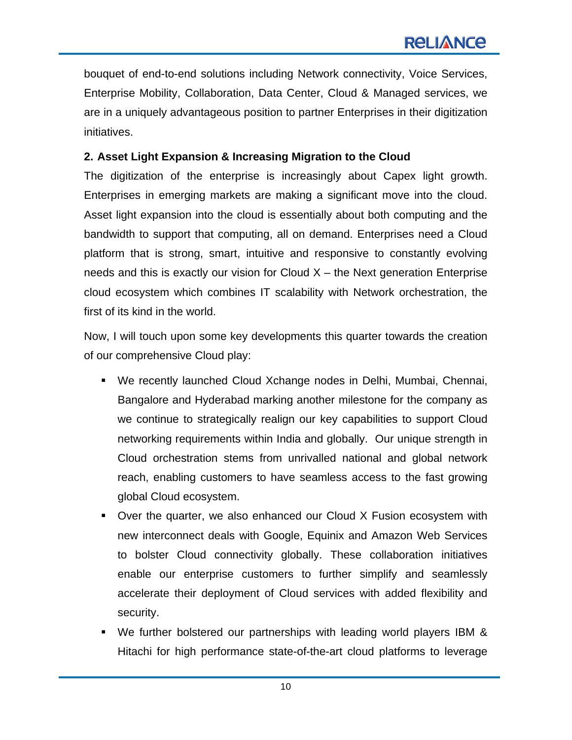bouquet of end-to-end solutions including Network connectivity, Voice Services, Enterprise Mobility, Collaboration, Data Center, Cloud & Managed services, we are in a uniquely advantageous position to partner Enterprises in their digitization initiatives.

## **2. Asset Light Expansion & Increasing Migration to the Cloud**

The digitization of the enterprise is increasingly about Capex light growth. Enterprises in emerging markets are making a significant move into the cloud. Asset light expansion into the cloud is essentially about both computing and the bandwidth to support that computing, all on demand. Enterprises need a Cloud platform that is strong, smart, intuitive and responsive to constantly evolving needs and this is exactly our vision for Cloud  $X$  – the Next generation Enterprise cloud ecosystem which combines IT scalability with Network orchestration, the first of its kind in the world.

Now, I will touch upon some key developments this quarter towards the creation of our comprehensive Cloud play:

- We recently launched Cloud Xchange nodes in Delhi, Mumbai, Chennai, Bangalore and Hyderabad marking another milestone for the company as we continue to strategically realign our key capabilities to support Cloud networking requirements within India and globally. Our unique strength in Cloud orchestration stems from unrivalled national and global network reach, enabling customers to have seamless access to the fast growing global Cloud ecosystem.
- Over the quarter, we also enhanced our Cloud X Fusion ecosystem with new interconnect deals with Google, Equinix and Amazon Web Services to bolster Cloud connectivity globally. These collaboration initiatives enable our enterprise customers to further simplify and seamlessly accelerate their deployment of Cloud services with added flexibility and security.
- We further bolstered our partnerships with leading world players IBM & Hitachi for high performance state-of-the-art cloud platforms to leverage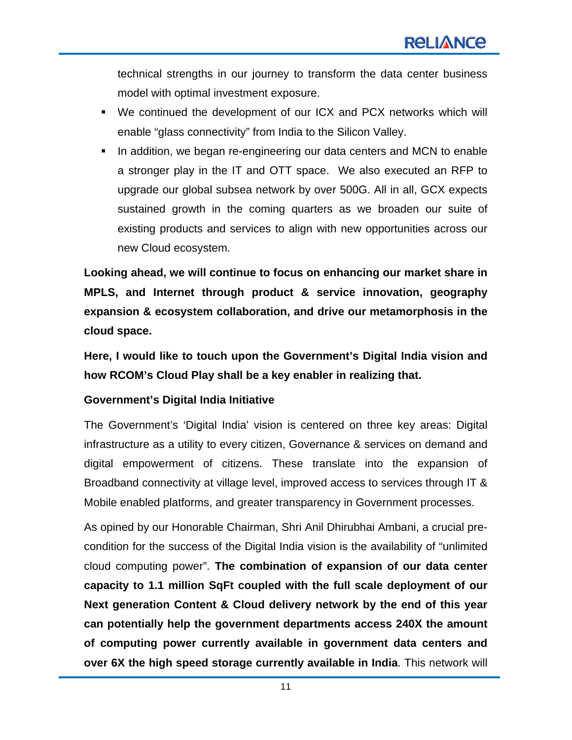technical strengths in our journey to transform the data center business model with optimal investment exposure.

- We continued the development of our ICX and PCX networks which will enable "glass connectivity" from India to the Silicon Valley.
- In addition, we began re-engineering our data centers and MCN to enable a stronger play in the IT and OTT space. We also executed an RFP to upgrade our global subsea network by over 500G. All in all, GCX expects sustained growth in the coming quarters as we broaden our suite of existing products and services to align with new opportunities across our new Cloud ecosystem.

**Looking ahead, we will continue to focus on enhancing our market share in MPLS, and Internet through product & service innovation, geography expansion & ecosystem collaboration, and drive our metamorphosis in the cloud space.** 

**Here, I would like to touch upon the Government's Digital India vision and how RCOM's Cloud Play shall be a key enabler in realizing that.** 

#### **Government's Digital India Initiative**

The Government's 'Digital India' vision is centered on three key areas: Digital infrastructure as a utility to every citizen, Governance & services on demand and digital empowerment of citizens. These translate into the expansion of Broadband connectivity at village level, improved access to services through IT & Mobile enabled platforms, and greater transparency in Government processes.

As opined by our Honorable Chairman, Shri Anil Dhirubhai Ambani, a crucial precondition for the success of the Digital India vision is the availability of "unlimited cloud computing power". **The combination of expansion of our data center capacity to 1.1 million SqFt coupled with the full scale deployment of our Next generation Content & Cloud delivery network by the end of this year can potentially help the government departments access 240X the amount of computing power currently available in government data centers and over 6X the high speed storage currently available in India**. This network will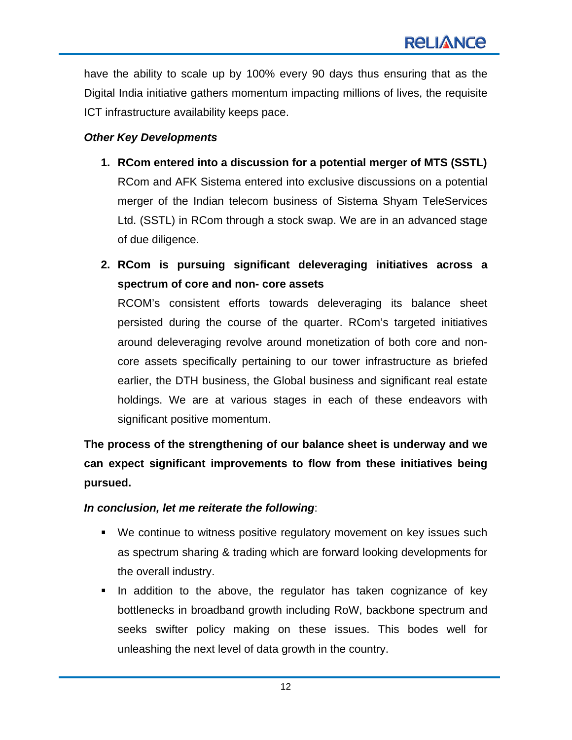have the ability to scale up by 100% every 90 days thus ensuring that as the Digital India initiative gathers momentum impacting millions of lives, the requisite ICT infrastructure availability keeps pace.

#### *Other Key Developments*

- **1. RCom entered into a discussion for a potential merger of MTS (SSTL)**  RCom and AFK Sistema entered into exclusive discussions on a potential merger of the Indian telecom business of Sistema Shyam TeleServices Ltd. (SSTL) in RCom through a stock swap. We are in an advanced stage of due diligence.
- **2. RCom is pursuing significant deleveraging initiatives across a spectrum of core and non- core assets**

RCOM's consistent efforts towards deleveraging its balance sheet persisted during the course of the quarter. RCom's targeted initiatives around deleveraging revolve around monetization of both core and noncore assets specifically pertaining to our tower infrastructure as briefed earlier, the DTH business, the Global business and significant real estate holdings. We are at various stages in each of these endeavors with significant positive momentum.

**The process of the strengthening of our balance sheet is underway and we can expect significant improvements to flow from these initiatives being pursued.** 

#### *In conclusion, let me reiterate the following*:

- We continue to witness positive regulatory movement on key issues such as spectrum sharing & trading which are forward looking developments for the overall industry.
- In addition to the above, the regulator has taken cognizance of key bottlenecks in broadband growth including RoW, backbone spectrum and seeks swifter policy making on these issues. This bodes well for unleashing the next level of data growth in the country.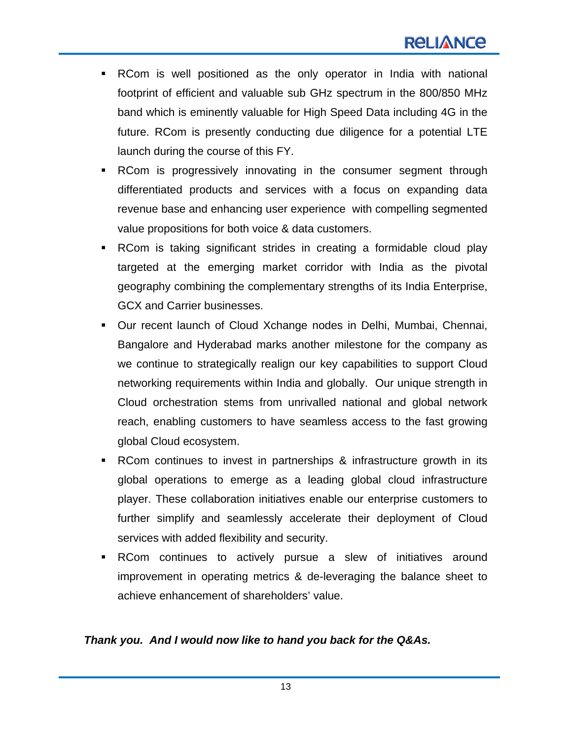- RCom is well positioned as the only operator in India with national footprint of efficient and valuable sub GHz spectrum in the 800/850 MHz band which is eminently valuable for High Speed Data including 4G in the future. RCom is presently conducting due diligence for a potential LTE launch during the course of this FY.
- RCom is progressively innovating in the consumer segment through differentiated products and services with a focus on expanding data revenue base and enhancing user experience with compelling segmented value propositions for both voice & data customers.
- RCom is taking significant strides in creating a formidable cloud play targeted at the emerging market corridor with India as the pivotal geography combining the complementary strengths of its India Enterprise, GCX and Carrier businesses.
- Our recent launch of Cloud Xchange nodes in Delhi, Mumbai, Chennai, Bangalore and Hyderabad marks another milestone for the company as we continue to strategically realign our key capabilities to support Cloud networking requirements within India and globally. Our unique strength in Cloud orchestration stems from unrivalled national and global network reach, enabling customers to have seamless access to the fast growing global Cloud ecosystem.
- RCom continues to invest in partnerships & infrastructure growth in its global operations to emerge as a leading global cloud infrastructure player. These collaboration initiatives enable our enterprise customers to further simplify and seamlessly accelerate their deployment of Cloud services with added flexibility and security.
- RCom continues to actively pursue a slew of initiatives around improvement in operating metrics & de-leveraging the balance sheet to achieve enhancement of shareholders' value.

#### *Thank you. And I would now like to hand you back for the Q&As.*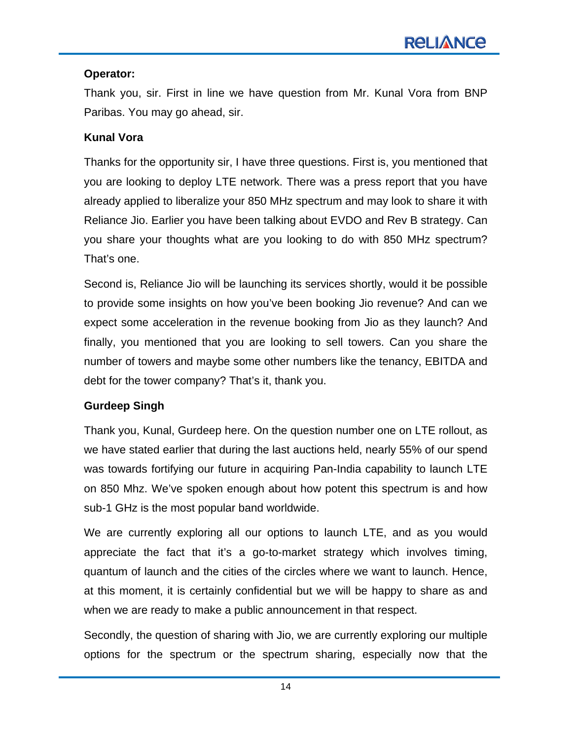### **Operator:**

Thank you, sir. First in line we have question from Mr. Kunal Vora from BNP Paribas. You may go ahead, sir.

### **Kunal Vora**

Thanks for the opportunity sir, I have three questions. First is, you mentioned that you are looking to deploy LTE network. There was a press report that you have already applied to liberalize your 850 MHz spectrum and may look to share it with Reliance Jio. Earlier you have been talking about EVDO and Rev B strategy. Can you share your thoughts what are you looking to do with 850 MHz spectrum? That's one.

Second is, Reliance Jio will be launching its services shortly, would it be possible to provide some insights on how you've been booking Jio revenue? And can we expect some acceleration in the revenue booking from Jio as they launch? And finally, you mentioned that you are looking to sell towers. Can you share the number of towers and maybe some other numbers like the tenancy, EBITDA and debt for the tower company? That's it, thank you.

#### **Gurdeep Singh**

Thank you, Kunal, Gurdeep here. On the question number one on LTE rollout, as we have stated earlier that during the last auctions held, nearly 55% of our spend was towards fortifying our future in acquiring Pan-India capability to launch LTE on 850 Mhz. We've spoken enough about how potent this spectrum is and how sub-1 GHz is the most popular band worldwide.

We are currently exploring all our options to launch LTE, and as you would appreciate the fact that it's a go-to-market strategy which involves timing, quantum of launch and the cities of the circles where we want to launch. Hence, at this moment, it is certainly confidential but we will be happy to share as and when we are ready to make a public announcement in that respect.

Secondly, the question of sharing with Jio, we are currently exploring our multiple options for the spectrum or the spectrum sharing, especially now that the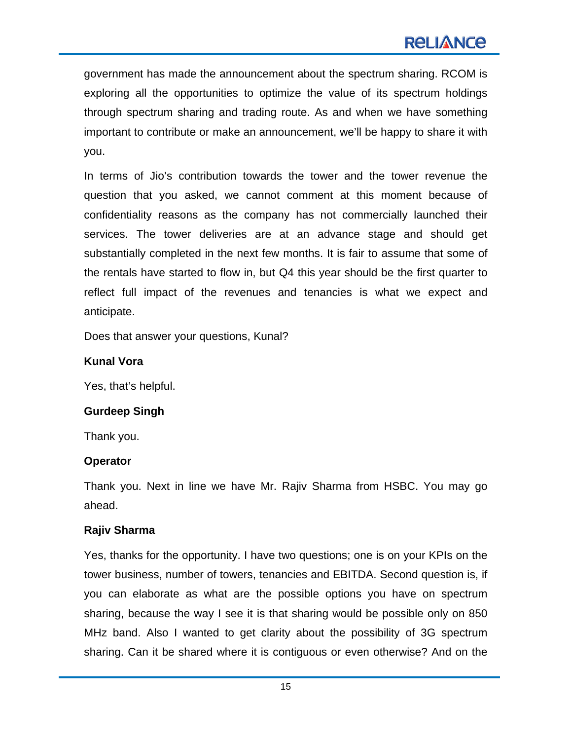government has made the announcement about the spectrum sharing. RCOM is exploring all the opportunities to optimize the value of its spectrum holdings through spectrum sharing and trading route. As and when we have something important to contribute or make an announcement, we'll be happy to share it with you.

In terms of Jio's contribution towards the tower and the tower revenue the question that you asked, we cannot comment at this moment because of confidentiality reasons as the company has not commercially launched their services. The tower deliveries are at an advance stage and should get substantially completed in the next few months. It is fair to assume that some of the rentals have started to flow in, but Q4 this year should be the first quarter to reflect full impact of the revenues and tenancies is what we expect and anticipate.

Does that answer your questions, Kunal?

#### **Kunal Vora**

Yes, that's helpful.

#### **Gurdeep Singh**

Thank you.

#### **Operator**

Thank you. Next in line we have Mr. Rajiv Sharma from HSBC. You may go ahead.

#### **Rajiv Sharma**

Yes, thanks for the opportunity. I have two questions; one is on your KPIs on the tower business, number of towers, tenancies and EBITDA. Second question is, if you can elaborate as what are the possible options you have on spectrum sharing, because the way I see it is that sharing would be possible only on 850 MHz band. Also I wanted to get clarity about the possibility of 3G spectrum sharing. Can it be shared where it is contiguous or even otherwise? And on the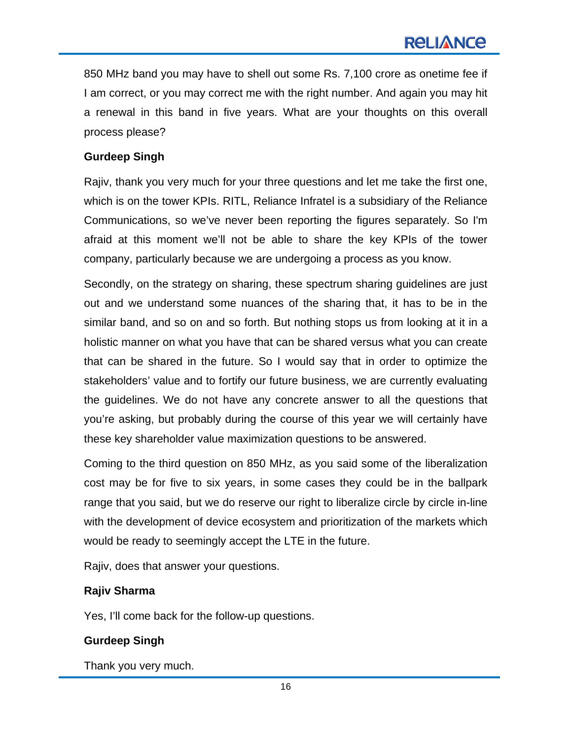850 MHz band you may have to shell out some Rs. 7,100 crore as onetime fee if I am correct, or you may correct me with the right number. And again you may hit a renewal in this band in five years. What are your thoughts on this overall process please?

#### **Gurdeep Singh**

Rajiv, thank you very much for your three questions and let me take the first one, which is on the tower KPIs. RITL, Reliance Infratel is a subsidiary of the Reliance Communications, so we've never been reporting the figures separately. So I'm afraid at this moment we'll not be able to share the key KPIs of the tower company, particularly because we are undergoing a process as you know.

Secondly, on the strategy on sharing, these spectrum sharing guidelines are just out and we understand some nuances of the sharing that, it has to be in the similar band, and so on and so forth. But nothing stops us from looking at it in a holistic manner on what you have that can be shared versus what you can create that can be shared in the future. So I would say that in order to optimize the stakeholders' value and to fortify our future business, we are currently evaluating the guidelines. We do not have any concrete answer to all the questions that you're asking, but probably during the course of this year we will certainly have these key shareholder value maximization questions to be answered.

Coming to the third question on 850 MHz, as you said some of the liberalization cost may be for five to six years, in some cases they could be in the ballpark range that you said, but we do reserve our right to liberalize circle by circle in-line with the development of device ecosystem and prioritization of the markets which would be ready to seemingly accept the LTE in the future.

Rajiv, does that answer your questions.

#### **Rajiv Sharma**

Yes, I'll come back for the follow-up questions.

#### **Gurdeep Singh**

Thank you very much.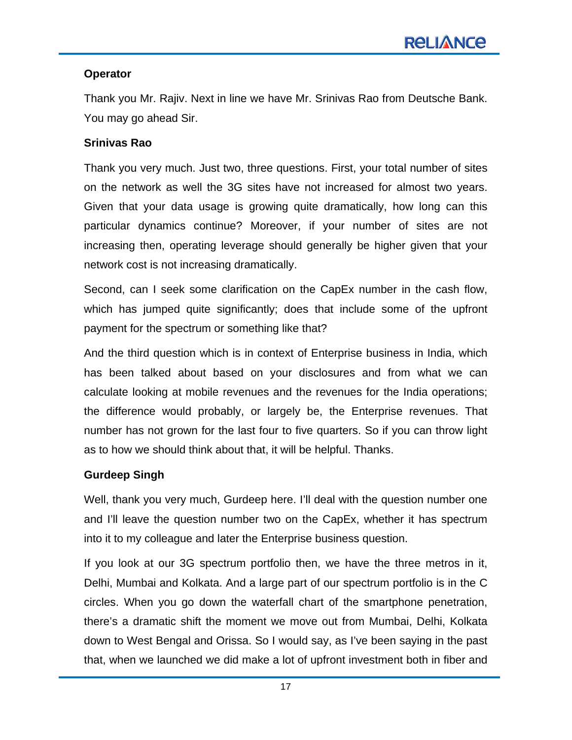## **Operator**

Thank you Mr. Rajiv. Next in line we have Mr. Srinivas Rao from Deutsche Bank. You may go ahead Sir.

### **Srinivas Rao**

Thank you very much. Just two, three questions. First, your total number of sites on the network as well the 3G sites have not increased for almost two years. Given that your data usage is growing quite dramatically, how long can this particular dynamics continue? Moreover, if your number of sites are not increasing then, operating leverage should generally be higher given that your network cost is not increasing dramatically.

Second, can I seek some clarification on the CapEx number in the cash flow, which has jumped quite significantly; does that include some of the upfront payment for the spectrum or something like that?

And the third question which is in context of Enterprise business in India, which has been talked about based on your disclosures and from what we can calculate looking at mobile revenues and the revenues for the India operations; the difference would probably, or largely be, the Enterprise revenues. That number has not grown for the last four to five quarters. So if you can throw light as to how we should think about that, it will be helpful. Thanks.

# **Gurdeep Singh**

Well, thank you very much, Gurdeep here. I'll deal with the question number one and I'll leave the question number two on the CapEx, whether it has spectrum into it to my colleague and later the Enterprise business question.

If you look at our 3G spectrum portfolio then, we have the three metros in it, Delhi, Mumbai and Kolkata. And a large part of our spectrum portfolio is in the C circles. When you go down the waterfall chart of the smartphone penetration, there's a dramatic shift the moment we move out from Mumbai, Delhi, Kolkata down to West Bengal and Orissa. So I would say, as I've been saying in the past that, when we launched we did make a lot of upfront investment both in fiber and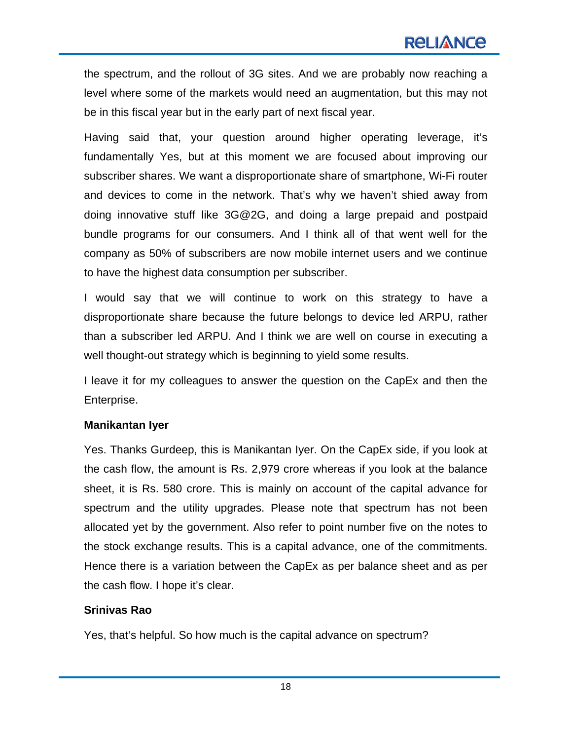the spectrum, and the rollout of 3G sites. And we are probably now reaching a level where some of the markets would need an augmentation, but this may not be in this fiscal year but in the early part of next fiscal year.

Having said that, your question around higher operating leverage, it's fundamentally Yes, but at this moment we are focused about improving our subscriber shares. We want a disproportionate share of smartphone, Wi-Fi router and devices to come in the network. That's why we haven't shied away from doing innovative stuff like 3G@2G, and doing a large prepaid and postpaid bundle programs for our consumers. And I think all of that went well for the company as 50% of subscribers are now mobile internet users and we continue to have the highest data consumption per subscriber.

I would say that we will continue to work on this strategy to have a disproportionate share because the future belongs to device led ARPU, rather than a subscriber led ARPU. And I think we are well on course in executing a well thought-out strategy which is beginning to yield some results.

I leave it for my colleagues to answer the question on the CapEx and then the Enterprise.

#### **Manikantan Iyer**

Yes. Thanks Gurdeep, this is Manikantan Iyer. On the CapEx side, if you look at the cash flow, the amount is Rs. 2,979 crore whereas if you look at the balance sheet, it is Rs. 580 crore. This is mainly on account of the capital advance for spectrum and the utility upgrades. Please note that spectrum has not been allocated yet by the government. Also refer to point number five on the notes to the stock exchange results. This is a capital advance, one of the commitments. Hence there is a variation between the CapEx as per balance sheet and as per the cash flow. I hope it's clear.

#### **Srinivas Rao**

Yes, that's helpful. So how much is the capital advance on spectrum?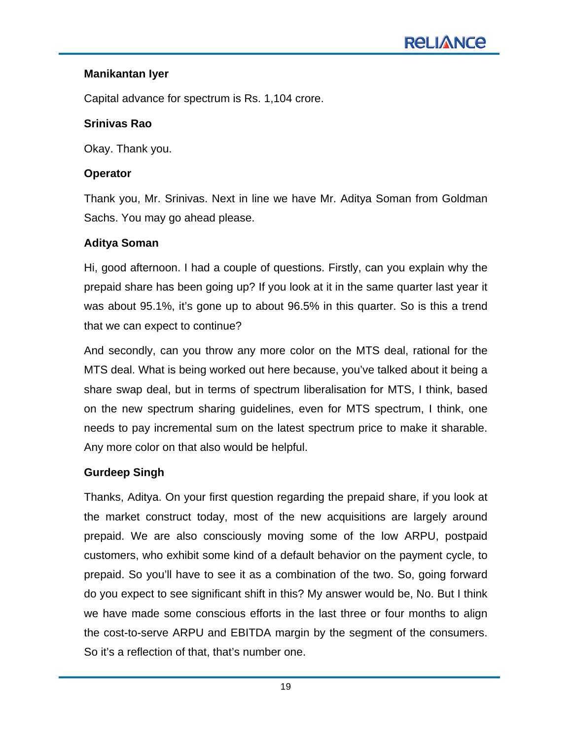## **Manikantan Iyer**

Capital advance for spectrum is Rs. 1,104 crore.

## **Srinivas Rao**

Okay. Thank you.

## **Operator**

Thank you, Mr. Srinivas. Next in line we have Mr. Aditya Soman from Goldman Sachs. You may go ahead please.

# **Aditya Soman**

Hi, good afternoon. I had a couple of questions. Firstly, can you explain why the prepaid share has been going up? If you look at it in the same quarter last year it was about 95.1%, it's gone up to about 96.5% in this quarter. So is this a trend that we can expect to continue?

And secondly, can you throw any more color on the MTS deal, rational for the MTS deal. What is being worked out here because, you've talked about it being a share swap deal, but in terms of spectrum liberalisation for MTS, I think, based on the new spectrum sharing guidelines, even for MTS spectrum, I think, one needs to pay incremental sum on the latest spectrum price to make it sharable. Any more color on that also would be helpful.

# **Gurdeep Singh**

Thanks, Aditya. On your first question regarding the prepaid share, if you look at the market construct today, most of the new acquisitions are largely around prepaid. We are also consciously moving some of the low ARPU, postpaid customers, who exhibit some kind of a default behavior on the payment cycle, to prepaid. So you'll have to see it as a combination of the two. So, going forward do you expect to see significant shift in this? My answer would be, No. But I think we have made some conscious efforts in the last three or four months to align the cost-to-serve ARPU and EBITDA margin by the segment of the consumers. So it's a reflection of that, that's number one.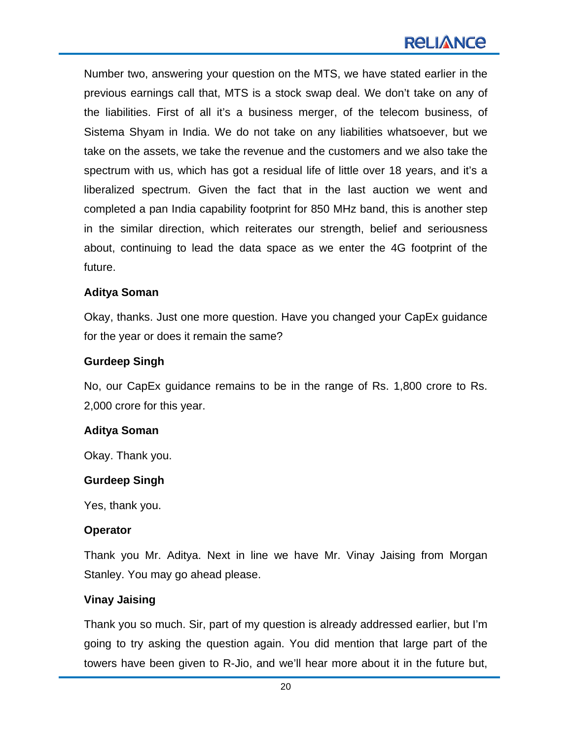Number two, answering your question on the MTS, we have stated earlier in the previous earnings call that, MTS is a stock swap deal. We don't take on any of the liabilities. First of all it's a business merger, of the telecom business, of Sistema Shyam in India. We do not take on any liabilities whatsoever, but we take on the assets, we take the revenue and the customers and we also take the spectrum with us, which has got a residual life of little over 18 years, and it's a liberalized spectrum. Given the fact that in the last auction we went and completed a pan India capability footprint for 850 MHz band, this is another step in the similar direction, which reiterates our strength, belief and seriousness about, continuing to lead the data space as we enter the 4G footprint of the future.

#### **Aditya Soman**

Okay, thanks. Just one more question. Have you changed your CapEx guidance for the year or does it remain the same?

#### **Gurdeep Singh**

No, our CapEx guidance remains to be in the range of Rs. 1,800 crore to Rs. 2,000 crore for this year.

#### **Aditya Soman**

Okay. Thank you.

#### **Gurdeep Singh**

Yes, thank you.

#### **Operator**

Thank you Mr. Aditya. Next in line we have Mr. Vinay Jaising from Morgan Stanley. You may go ahead please.

#### **Vinay Jaising**

Thank you so much. Sir, part of my question is already addressed earlier, but I'm going to try asking the question again. You did mention that large part of the towers have been given to R-Jio, and we'll hear more about it in the future but,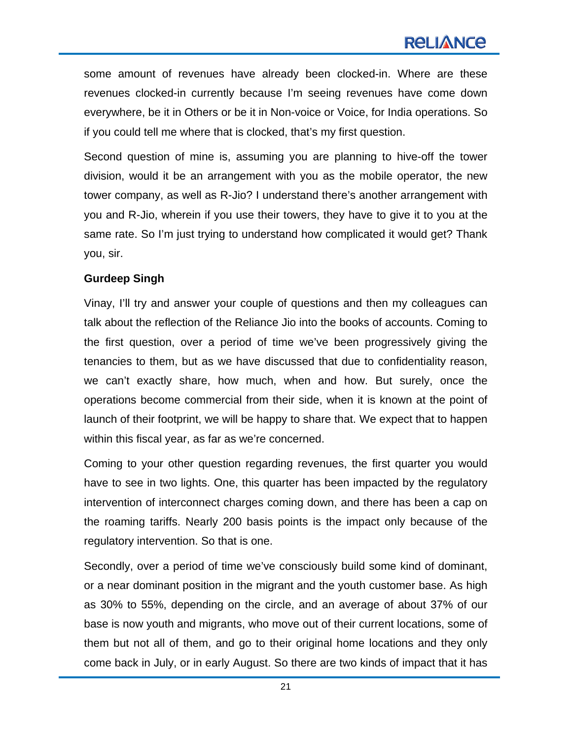some amount of revenues have already been clocked-in. Where are these revenues clocked-in currently because I'm seeing revenues have come down everywhere, be it in Others or be it in Non-voice or Voice, for India operations. So if you could tell me where that is clocked, that's my first question.

Second question of mine is, assuming you are planning to hive-off the tower division, would it be an arrangement with you as the mobile operator, the new tower company, as well as R-Jio? I understand there's another arrangement with you and R-Jio, wherein if you use their towers, they have to give it to you at the same rate. So I'm just trying to understand how complicated it would get? Thank you, sir.

#### **Gurdeep Singh**

Vinay, I'll try and answer your couple of questions and then my colleagues can talk about the reflection of the Reliance Jio into the books of accounts. Coming to the first question, over a period of time we've been progressively giving the tenancies to them, but as we have discussed that due to confidentiality reason, we can't exactly share, how much, when and how. But surely, once the operations become commercial from their side, when it is known at the point of launch of their footprint, we will be happy to share that. We expect that to happen within this fiscal year, as far as we're concerned.

Coming to your other question regarding revenues, the first quarter you would have to see in two lights. One, this quarter has been impacted by the regulatory intervention of interconnect charges coming down, and there has been a cap on the roaming tariffs. Nearly 200 basis points is the impact only because of the regulatory intervention. So that is one.

Secondly, over a period of time we've consciously build some kind of dominant, or a near dominant position in the migrant and the youth customer base. As high as 30% to 55%, depending on the circle, and an average of about 37% of our base is now youth and migrants, who move out of their current locations, some of them but not all of them, and go to their original home locations and they only come back in July, or in early August. So there are two kinds of impact that it has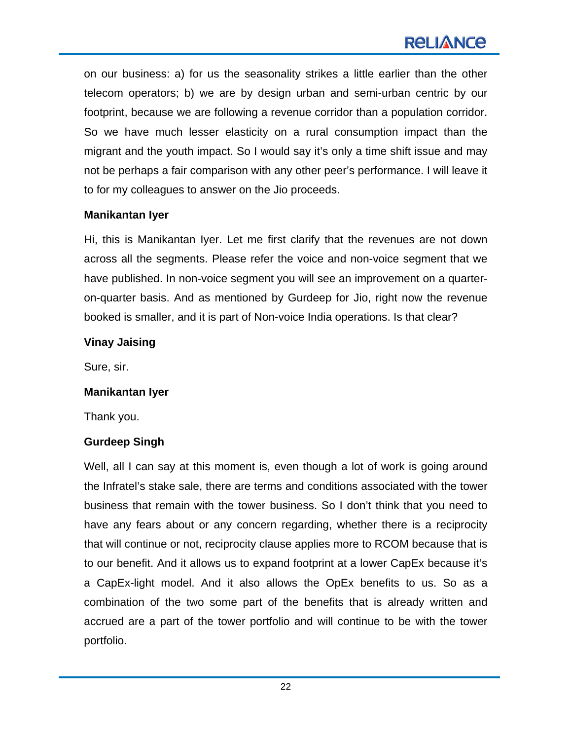on our business: a) for us the seasonality strikes a little earlier than the other telecom operators; b) we are by design urban and semi-urban centric by our footprint, because we are following a revenue corridor than a population corridor. So we have much lesser elasticity on a rural consumption impact than the migrant and the youth impact. So I would say it's only a time shift issue and may not be perhaps a fair comparison with any other peer's performance. I will leave it to for my colleagues to answer on the Jio proceeds.

#### **Manikantan Iyer**

Hi, this is Manikantan Iyer. Let me first clarify that the revenues are not down across all the segments. Please refer the voice and non-voice segment that we have published. In non-voice segment you will see an improvement on a quarteron-quarter basis. And as mentioned by Gurdeep for Jio, right now the revenue booked is smaller, and it is part of Non-voice India operations. Is that clear?

#### **Vinay Jaising**

Sure, sir.

#### **Manikantan Iyer**

Thank you.

#### **Gurdeep Singh**

Well, all I can say at this moment is, even though a lot of work is going around the Infratel's stake sale, there are terms and conditions associated with the tower business that remain with the tower business. So I don't think that you need to have any fears about or any concern regarding, whether there is a reciprocity that will continue or not, reciprocity clause applies more to RCOM because that is to our benefit. And it allows us to expand footprint at a lower CapEx because it's a CapEx-light model. And it also allows the OpEx benefits to us. So as a combination of the two some part of the benefits that is already written and accrued are a part of the tower portfolio and will continue to be with the tower portfolio.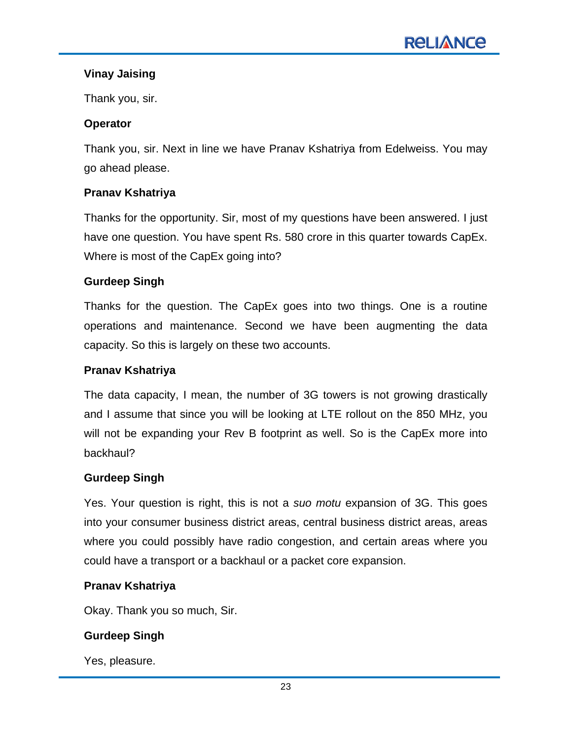## **Vinay Jaising**

Thank you, sir.

## **Operator**

Thank you, sir. Next in line we have Pranav Kshatriya from Edelweiss. You may go ahead please.

## **Pranav Kshatriya**

Thanks for the opportunity. Sir, most of my questions have been answered. I just have one question. You have spent Rs. 580 crore in this quarter towards CapEx. Where is most of the CapEx going into?

#### **Gurdeep Singh**

Thanks for the question. The CapEx goes into two things. One is a routine operations and maintenance. Second we have been augmenting the data capacity. So this is largely on these two accounts.

#### **Pranav Kshatriya**

The data capacity, I mean, the number of 3G towers is not growing drastically and I assume that since you will be looking at LTE rollout on the 850 MHz, you will not be expanding your Rev B footprint as well. So is the CapEx more into backhaul?

#### **Gurdeep Singh**

Yes. Your question is right, this is not a *suo motu* expansion of 3G. This goes into your consumer business district areas, central business district areas, areas where you could possibly have radio congestion, and certain areas where you could have a transport or a backhaul or a packet core expansion.

#### **Pranav Kshatriya**

Okay. Thank you so much, Sir.

# **Gurdeep Singh**

Yes, pleasure.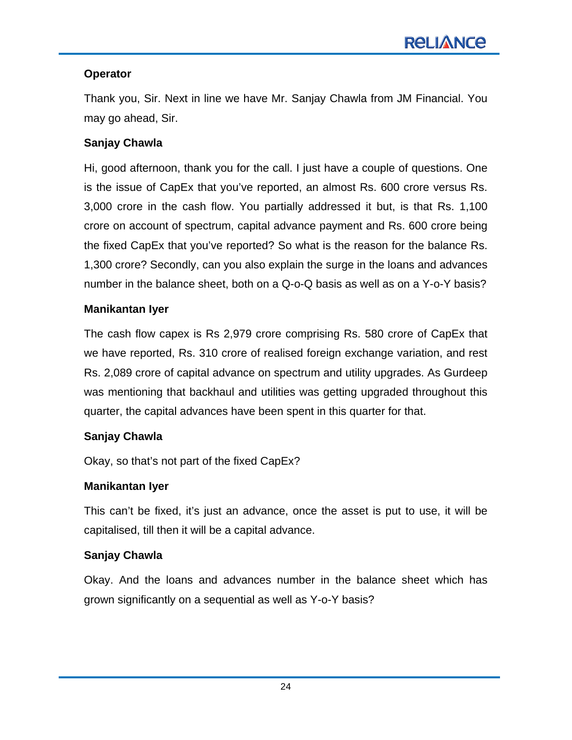# **Operator**

Thank you, Sir. Next in line we have Mr. Sanjay Chawla from JM Financial. You may go ahead, Sir.

# **Sanjay Chawla**

Hi, good afternoon, thank you for the call. I just have a couple of questions. One is the issue of CapEx that you've reported, an almost Rs. 600 crore versus Rs. 3,000 crore in the cash flow. You partially addressed it but, is that Rs. 1,100 crore on account of spectrum, capital advance payment and Rs. 600 crore being the fixed CapEx that you've reported? So what is the reason for the balance Rs. 1,300 crore? Secondly, can you also explain the surge in the loans and advances number in the balance sheet, both on a Q-o-Q basis as well as on a Y-o-Y basis?

# **Manikantan Iyer**

The cash flow capex is Rs 2,979 crore comprising Rs. 580 crore of CapEx that we have reported, Rs. 310 crore of realised foreign exchange variation, and rest Rs. 2,089 crore of capital advance on spectrum and utility upgrades. As Gurdeep was mentioning that backhaul and utilities was getting upgraded throughout this quarter, the capital advances have been spent in this quarter for that.

# **Sanjay Chawla**

Okay, so that's not part of the fixed CapEx?

# **Manikantan Iyer**

This can't be fixed, it's just an advance, once the asset is put to use, it will be capitalised, till then it will be a capital advance.

# **Sanjay Chawla**

Okay. And the loans and advances number in the balance sheet which has grown significantly on a sequential as well as Y-o-Y basis?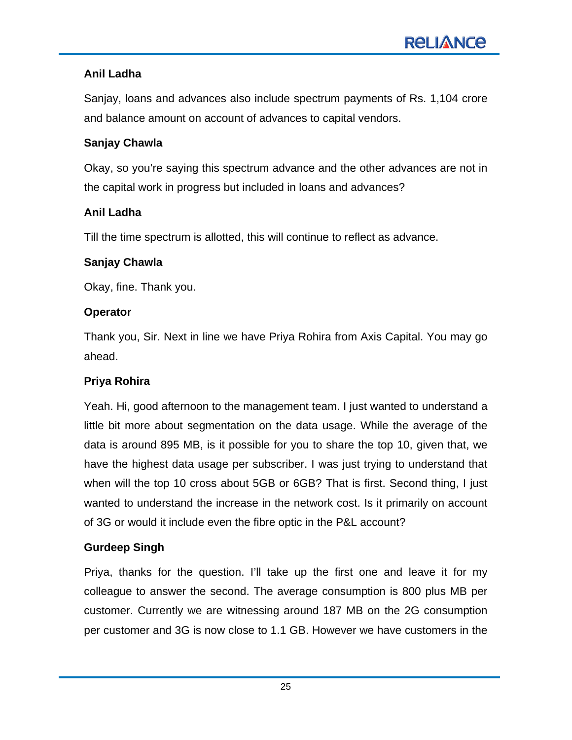# **Anil Ladha**

Sanjay, loans and advances also include spectrum payments of Rs. 1,104 crore and balance amount on account of advances to capital vendors.

## **Sanjay Chawla**

Okay, so you're saying this spectrum advance and the other advances are not in the capital work in progress but included in loans and advances?

# **Anil Ladha**

Till the time spectrum is allotted, this will continue to reflect as advance.

## **Sanjay Chawla**

Okay, fine. Thank you.

## **Operator**

Thank you, Sir. Next in line we have Priya Rohira from Axis Capital. You may go ahead.

# **Priya Rohira**

Yeah. Hi, good afternoon to the management team. I just wanted to understand a little bit more about segmentation on the data usage. While the average of the data is around 895 MB, is it possible for you to share the top 10, given that, we have the highest data usage per subscriber. I was just trying to understand that when will the top 10 cross about 5GB or 6GB? That is first. Second thing, I just wanted to understand the increase in the network cost. Is it primarily on account of 3G or would it include even the fibre optic in the P&L account?

# **Gurdeep Singh**

Priya, thanks for the question. I'll take up the first one and leave it for my colleague to answer the second. The average consumption is 800 plus MB per customer. Currently we are witnessing around 187 MB on the 2G consumption per customer and 3G is now close to 1.1 GB. However we have customers in the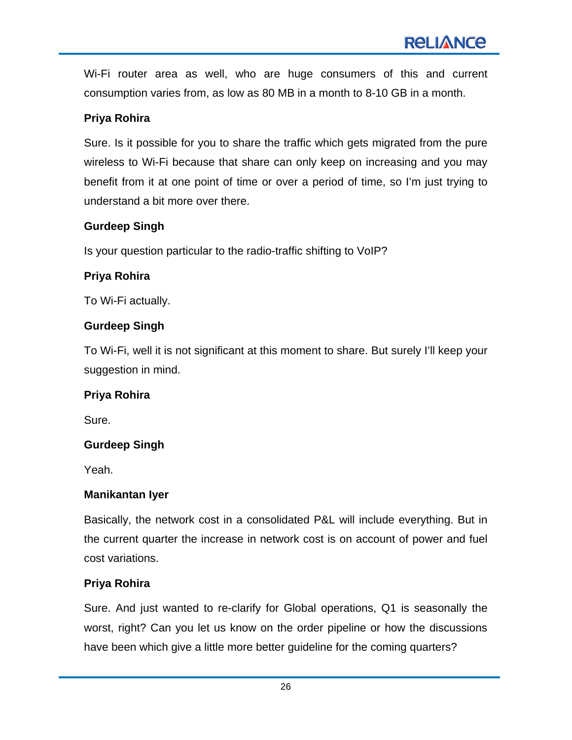Wi-Fi router area as well, who are huge consumers of this and current consumption varies from, as low as 80 MB in a month to 8-10 GB in a month.

## **Priya Rohira**

Sure. Is it possible for you to share the traffic which gets migrated from the pure wireless to Wi-Fi because that share can only keep on increasing and you may benefit from it at one point of time or over a period of time, so I'm just trying to understand a bit more over there.

## **Gurdeep Singh**

Is your question particular to the radio-traffic shifting to VoIP?

## **Priya Rohira**

To Wi-Fi actually.

# **Gurdeep Singh**

To Wi-Fi, well it is not significant at this moment to share. But surely I'll keep your suggestion in mind.

#### **Priya Rohira**

Sure.

# **Gurdeep Singh**

Yeah.

#### **Manikantan Iyer**

Basically, the network cost in a consolidated P&L will include everything. But in the current quarter the increase in network cost is on account of power and fuel cost variations.

# **Priya Rohira**

Sure. And just wanted to re-clarify for Global operations, Q1 is seasonally the worst, right? Can you let us know on the order pipeline or how the discussions have been which give a little more better guideline for the coming quarters?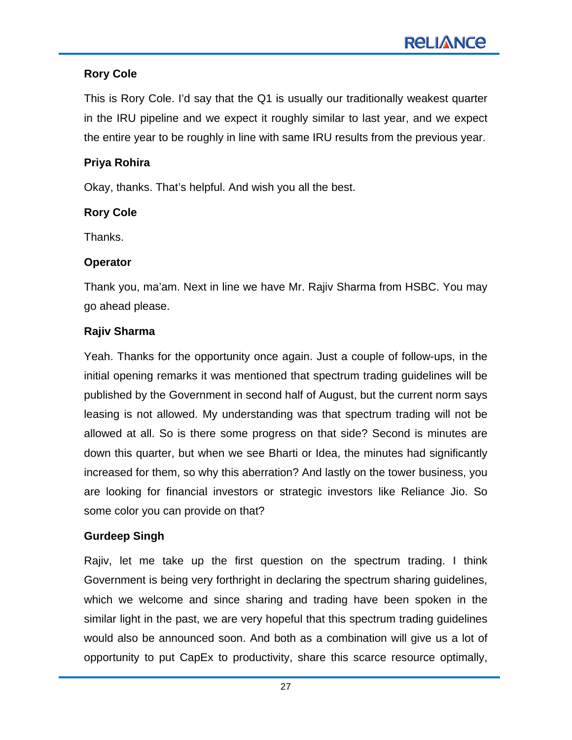## **Rory Cole**

This is Rory Cole. I'd say that the Q1 is usually our traditionally weakest quarter in the IRU pipeline and we expect it roughly similar to last year, and we expect the entire year to be roughly in line with same IRU results from the previous year.

#### **Priya Rohira**

Okay, thanks. That's helpful. And wish you all the best.

## **Rory Cole**

Thanks.

#### **Operator**

Thank you, ma'am. Next in line we have Mr. Rajiv Sharma from HSBC. You may go ahead please.

## **Rajiv Sharma**

Yeah. Thanks for the opportunity once again. Just a couple of follow-ups, in the initial opening remarks it was mentioned that spectrum trading guidelines will be published by the Government in second half of August, but the current norm says leasing is not allowed. My understanding was that spectrum trading will not be allowed at all. So is there some progress on that side? Second is minutes are down this quarter, but when we see Bharti or Idea, the minutes had significantly increased for them, so why this aberration? And lastly on the tower business, you are looking for financial investors or strategic investors like Reliance Jio. So some color you can provide on that?

# **Gurdeep Singh**

Rajiv, let me take up the first question on the spectrum trading. I think Government is being very forthright in declaring the spectrum sharing guidelines, which we welcome and since sharing and trading have been spoken in the similar light in the past, we are very hopeful that this spectrum trading guidelines would also be announced soon. And both as a combination will give us a lot of opportunity to put CapEx to productivity, share this scarce resource optimally,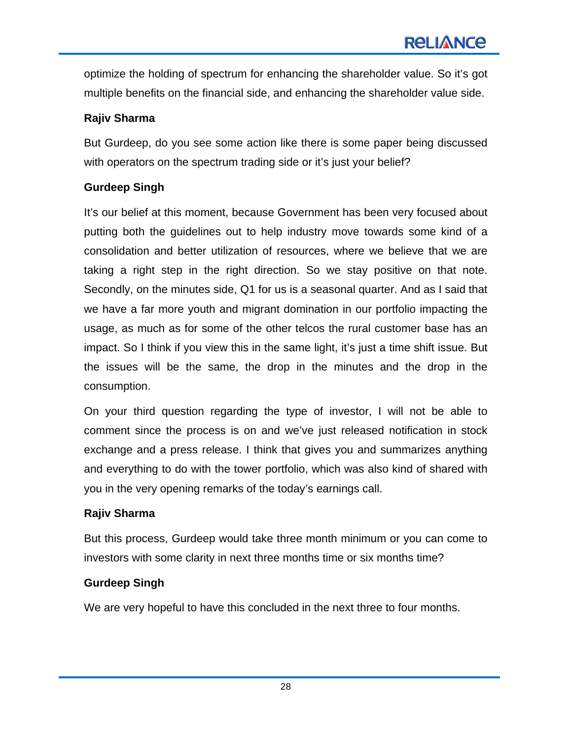optimize the holding of spectrum for enhancing the shareholder value. So it's got multiple benefits on the financial side, and enhancing the shareholder value side.

# **Rajiv Sharma**

But Gurdeep, do you see some action like there is some paper being discussed with operators on the spectrum trading side or it's just your belief?

### **Gurdeep Singh**

It's our belief at this moment, because Government has been very focused about putting both the guidelines out to help industry move towards some kind of a consolidation and better utilization of resources, where we believe that we are taking a right step in the right direction. So we stay positive on that note. Secondly, on the minutes side, Q1 for us is a seasonal quarter. And as I said that we have a far more youth and migrant domination in our portfolio impacting the usage, as much as for some of the other telcos the rural customer base has an impact. So I think if you view this in the same light, it's just a time shift issue. But the issues will be the same, the drop in the minutes and the drop in the consumption.

On your third question regarding the type of investor, I will not be able to comment since the process is on and we've just released notification in stock exchange and a press release. I think that gives you and summarizes anything and everything to do with the tower portfolio, which was also kind of shared with you in the very opening remarks of the today's earnings call.

#### **Rajiv Sharma**

But this process, Gurdeep would take three month minimum or you can come to investors with some clarity in next three months time or six months time?

# **Gurdeep Singh**

We are very hopeful to have this concluded in the next three to four months.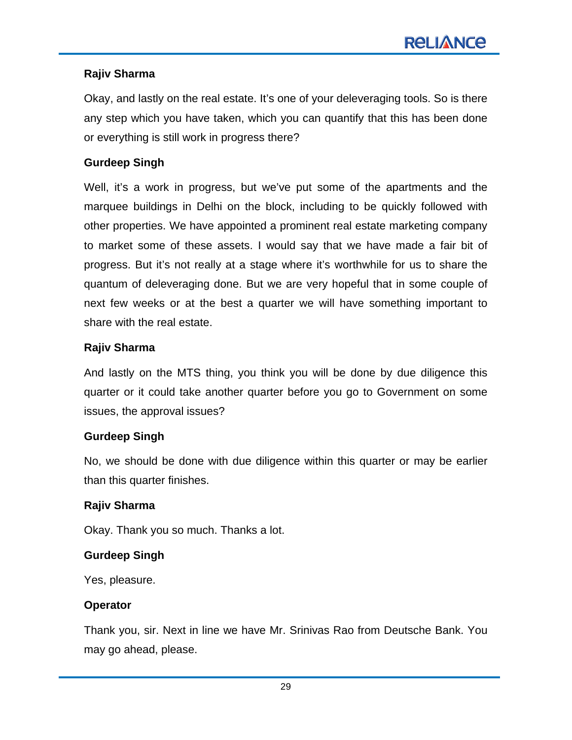### **Rajiv Sharma**

Okay, and lastly on the real estate. It's one of your deleveraging tools. So is there any step which you have taken, which you can quantify that this has been done or everything is still work in progress there?

### **Gurdeep Singh**

Well, it's a work in progress, but we've put some of the apartments and the marquee buildings in Delhi on the block, including to be quickly followed with other properties. We have appointed a prominent real estate marketing company to market some of these assets. I would say that we have made a fair bit of progress. But it's not really at a stage where it's worthwhile for us to share the quantum of deleveraging done. But we are very hopeful that in some couple of next few weeks or at the best a quarter we will have something important to share with the real estate.

#### **Rajiv Sharma**

And lastly on the MTS thing, you think you will be done by due diligence this quarter or it could take another quarter before you go to Government on some issues, the approval issues?

#### **Gurdeep Singh**

No, we should be done with due diligence within this quarter or may be earlier than this quarter finishes.

#### **Rajiv Sharma**

Okay. Thank you so much. Thanks a lot.

# **Gurdeep Singh**

Yes, pleasure.

#### **Operator**

Thank you, sir. Next in line we have Mr. Srinivas Rao from Deutsche Bank. You may go ahead, please.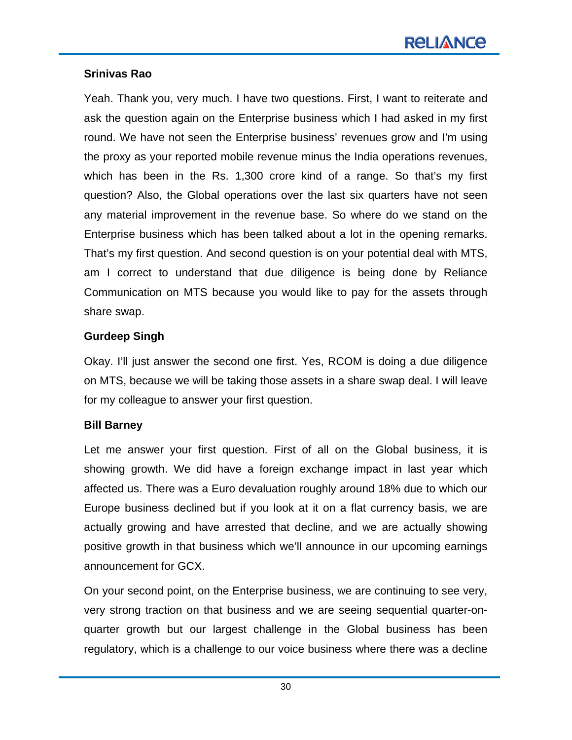#### **Srinivas Rao**

Yeah. Thank you, very much. I have two questions. First, I want to reiterate and ask the question again on the Enterprise business which I had asked in my first round. We have not seen the Enterprise business' revenues grow and I'm using the proxy as your reported mobile revenue minus the India operations revenues, which has been in the Rs. 1,300 crore kind of a range. So that's my first question? Also, the Global operations over the last six quarters have not seen any material improvement in the revenue base. So where do we stand on the Enterprise business which has been talked about a lot in the opening remarks. That's my first question. And second question is on your potential deal with MTS, am I correct to understand that due diligence is being done by Reliance Communication on MTS because you would like to pay for the assets through share swap.

#### **Gurdeep Singh**

Okay. I'll just answer the second one first. Yes, RCOM is doing a due diligence on MTS, because we will be taking those assets in a share swap deal. I will leave for my colleague to answer your first question.

#### **Bill Barney**

Let me answer your first question. First of all on the Global business, it is showing growth. We did have a foreign exchange impact in last year which affected us. There was a Euro devaluation roughly around 18% due to which our Europe business declined but if you look at it on a flat currency basis, we are actually growing and have arrested that decline, and we are actually showing positive growth in that business which we'll announce in our upcoming earnings announcement for GCX.

On your second point, on the Enterprise business, we are continuing to see very, very strong traction on that business and we are seeing sequential quarter-onquarter growth but our largest challenge in the Global business has been regulatory, which is a challenge to our voice business where there was a decline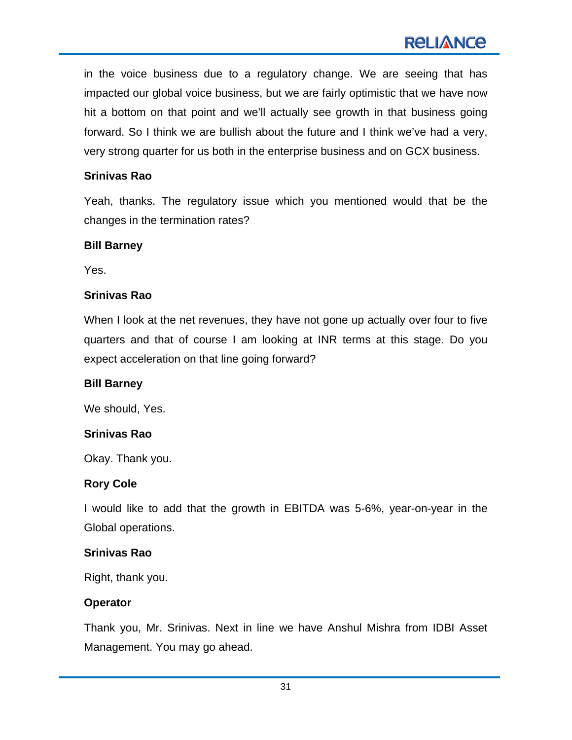in the voice business due to a regulatory change. We are seeing that has impacted our global voice business, but we are fairly optimistic that we have now hit a bottom on that point and we'll actually see growth in that business going forward. So I think we are bullish about the future and I think we've had a very, very strong quarter for us both in the enterprise business and on GCX business.

#### **Srinivas Rao**

Yeah, thanks. The regulatory issue which you mentioned would that be the changes in the termination rates?

#### **Bill Barney**

Yes.

#### **Srinivas Rao**

When I look at the net revenues, they have not gone up actually over four to five quarters and that of course I am looking at INR terms at this stage. Do you expect acceleration on that line going forward?

#### **Bill Barney**

We should, Yes.

#### **Srinivas Rao**

Okay. Thank you.

#### **Rory Cole**

I would like to add that the growth in EBITDA was 5-6%, year-on-year in the Global operations.

#### **Srinivas Rao**

Right, thank you.

#### **Operator**

Thank you, Mr. Srinivas. Next in line we have Anshul Mishra from IDBI Asset Management. You may go ahead.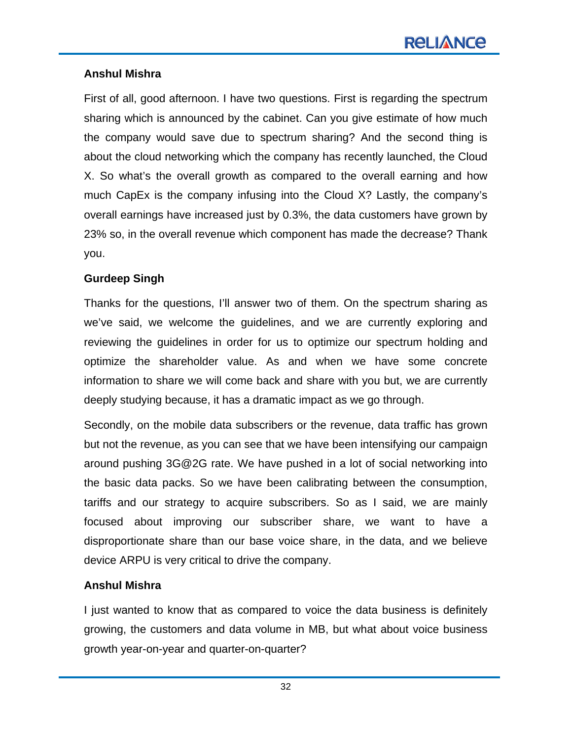## **Anshul Mishra**

First of all, good afternoon. I have two questions. First is regarding the spectrum sharing which is announced by the cabinet. Can you give estimate of how much the company would save due to spectrum sharing? And the second thing is about the cloud networking which the company has recently launched, the Cloud X. So what's the overall growth as compared to the overall earning and how much CapEx is the company infusing into the Cloud X? Lastly, the company's overall earnings have increased just by 0.3%, the data customers have grown by 23% so, in the overall revenue which component has made the decrease? Thank you.

#### **Gurdeep Singh**

Thanks for the questions, I'll answer two of them. On the spectrum sharing as we've said, we welcome the guidelines, and we are currently exploring and reviewing the guidelines in order for us to optimize our spectrum holding and optimize the shareholder value. As and when we have some concrete information to share we will come back and share with you but, we are currently deeply studying because, it has a dramatic impact as we go through.

Secondly, on the mobile data subscribers or the revenue, data traffic has grown but not the revenue, as you can see that we have been intensifying our campaign around pushing 3G@2G rate. We have pushed in a lot of social networking into the basic data packs. So we have been calibrating between the consumption, tariffs and our strategy to acquire subscribers. So as I said, we are mainly focused about improving our subscriber share, we want to have a disproportionate share than our base voice share, in the data, and we believe device ARPU is very critical to drive the company.

#### **Anshul Mishra**

I just wanted to know that as compared to voice the data business is definitely growing, the customers and data volume in MB, but what about voice business growth year-on-year and quarter-on-quarter?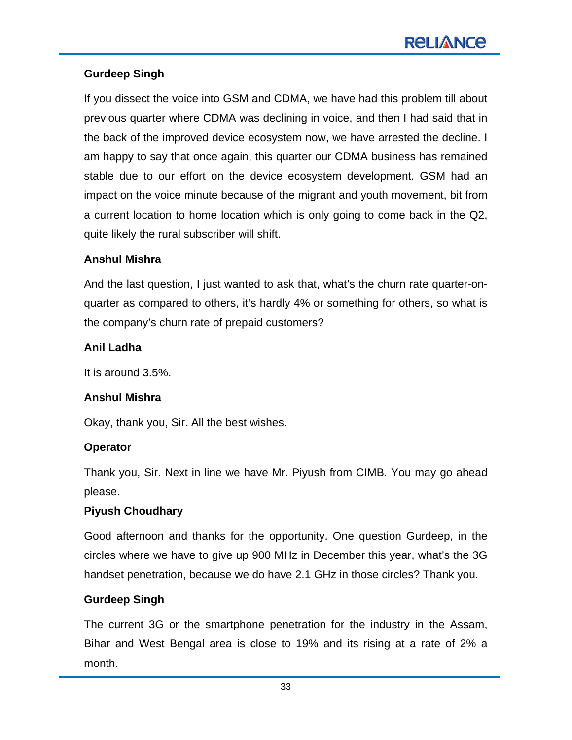## **Gurdeep Singh**

If you dissect the voice into GSM and CDMA, we have had this problem till about previous quarter where CDMA was declining in voice, and then I had said that in the back of the improved device ecosystem now, we have arrested the decline. I am happy to say that once again, this quarter our CDMA business has remained stable due to our effort on the device ecosystem development. GSM had an impact on the voice minute because of the migrant and youth movement, bit from a current location to home location which is only going to come back in the Q2, quite likely the rural subscriber will shift.

#### **Anshul Mishra**

And the last question, I just wanted to ask that, what's the churn rate quarter-onquarter as compared to others, it's hardly 4% or something for others, so what is the company's churn rate of prepaid customers?

#### **Anil Ladha**

It is around 3.5%.

#### **Anshul Mishra**

Okay, thank you, Sir. All the best wishes.

#### **Operator**

Thank you, Sir. Next in line we have Mr. Piyush from CIMB. You may go ahead please.

#### **Piyush Choudhary**

Good afternoon and thanks for the opportunity. One question Gurdeep, in the circles where we have to give up 900 MHz in December this year, what's the 3G handset penetration, because we do have 2.1 GHz in those circles? Thank you.

#### **Gurdeep Singh**

The current 3G or the smartphone penetration for the industry in the Assam, Bihar and West Bengal area is close to 19% and its rising at a rate of 2% a month.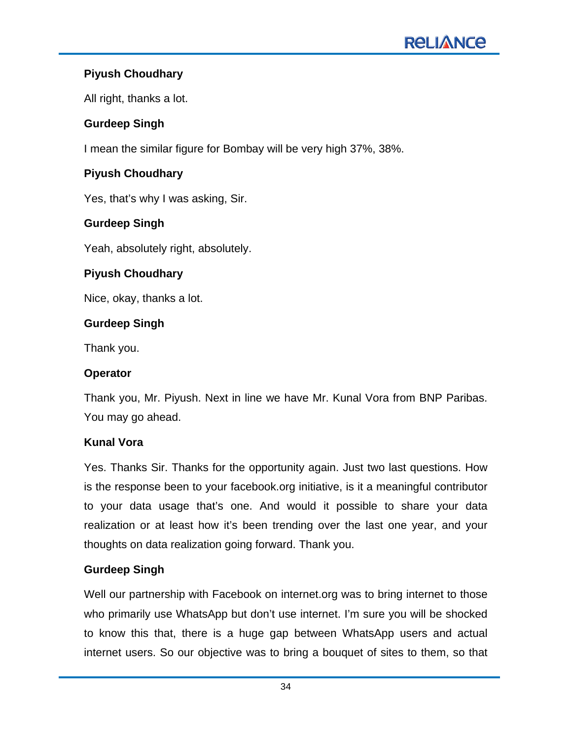# **Piyush Choudhary**

All right, thanks a lot.

# **Gurdeep Singh**

I mean the similar figure for Bombay will be very high 37%, 38%.

# **Piyush Choudhary**

Yes, that's why I was asking, Sir.

# **Gurdeep Singh**

Yeah, absolutely right, absolutely.

# **Piyush Choudhary**

Nice, okay, thanks a lot.

# **Gurdeep Singh**

Thank you.

# **Operator**

Thank you, Mr. Piyush. Next in line we have Mr. Kunal Vora from BNP Paribas. You may go ahead.

# **Kunal Vora**

Yes. Thanks Sir. Thanks for the opportunity again. Just two last questions. How is the response been to your facebook.org initiative, is it a meaningful contributor to your data usage that's one. And would it possible to share your data realization or at least how it's been trending over the last one year, and your thoughts on data realization going forward. Thank you.

# **Gurdeep Singh**

Well our partnership with Facebook on internet.org was to bring internet to those who primarily use WhatsApp but don't use internet. I'm sure you will be shocked to know this that, there is a huge gap between WhatsApp users and actual internet users. So our objective was to bring a bouquet of sites to them, so that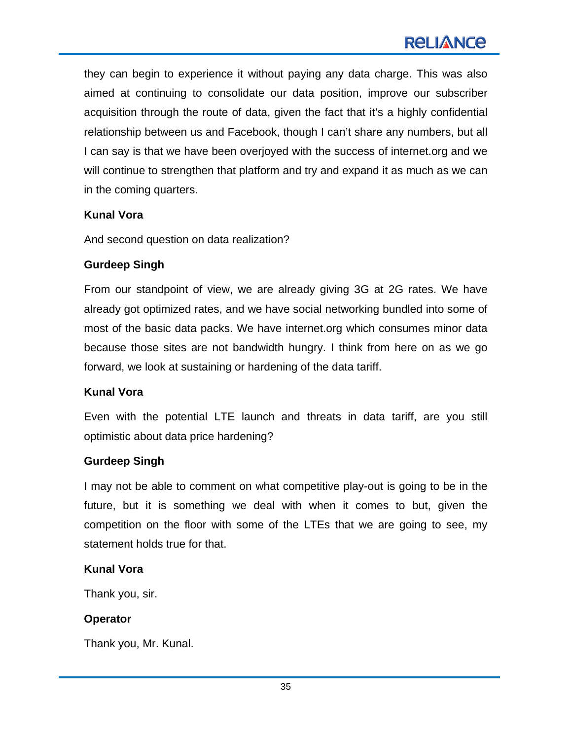they can begin to experience it without paying any data charge. This was also aimed at continuing to consolidate our data position, improve our subscriber acquisition through the route of data, given the fact that it's a highly confidential relationship between us and Facebook, though I can't share any numbers, but all I can say is that we have been overjoyed with the success of internet.org and we will continue to strengthen that platform and try and expand it as much as we can in the coming quarters.

## **Kunal Vora**

And second question on data realization?

# **Gurdeep Singh**

From our standpoint of view, we are already giving 3G at 2G rates. We have already got optimized rates, and we have social networking bundled into some of most of the basic data packs. We have internet.org which consumes minor data because those sites are not bandwidth hungry. I think from here on as we go forward, we look at sustaining or hardening of the data tariff.

# **Kunal Vora**

Even with the potential LTE launch and threats in data tariff, are you still optimistic about data price hardening?

# **Gurdeep Singh**

I may not be able to comment on what competitive play-out is going to be in the future, but it is something we deal with when it comes to but, given the competition on the floor with some of the LTEs that we are going to see, my statement holds true for that.

#### **Kunal Vora**

Thank you, sir.

# **Operator**

Thank you, Mr. Kunal.